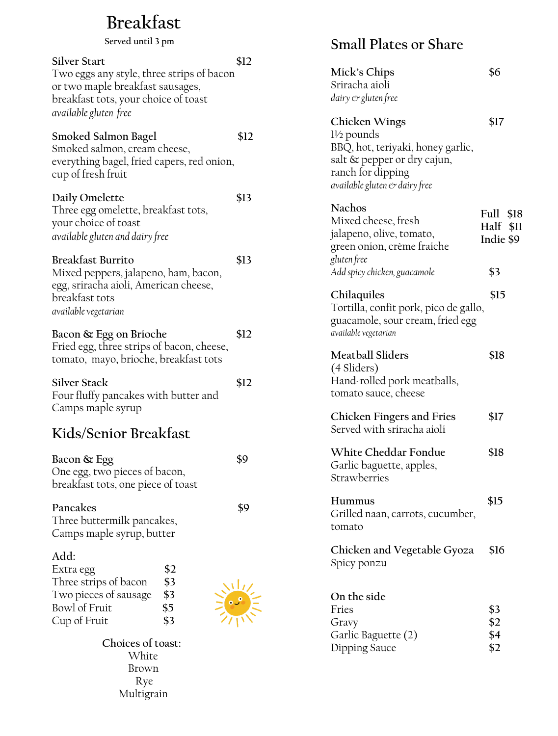# **Breakfast**

**Silver Start \$12** Two eggs any style, three strips of bacon or two maple breakfast sausages, breakfast tots, your choice of toast *available gluten free* **Smoked Salmon Bagel \$12** Smoked salmon, cream cheese, everything bagel, fried capers, red onion, cup of fresh fruit **Daily Omelette \$13** Three egg omelette, breakfast tots, your choice of toast *available gluten and dairy free* **Breakfast Burrito \$13** Mixed peppers, jalapeno, ham, bacon, egg, sriracha aioli, American cheese, breakfast tots *available vegetarian*  **Bacon & Egg on Brioche \$12** Fried egg, three strips of bacon, cheese, tomato, mayo, brioche, breakfast tots Silver Stack \$12 Four fluffy pancakes with butter and Camps maple syrup **Kids/Senior Breakfast Bacon & Egg \$9** One egg, two pieces of bacon, breakfast tots, one piece of toast **Served until 3 pm** 

Pancakes \$9 Three buttermilk pancakes, Camps maple syrup, butter

#### **Add:**

| Extra egg             | \$2 |
|-----------------------|-----|
| Three strips of bacon | \$3 |
| Two pieces of sausage | \$3 |
| Bowl of Fruit         | \$5 |
| Cup of Fruit          | \$3 |

 **Choices of toast: White**  Brown Rye Multigrain

#### **Small Plates or Share**

| Mick's Chips<br>Sriracha aioli<br>dairy & gluten free                                                                                                            | \$6                                           |
|------------------------------------------------------------------------------------------------------------------------------------------------------------------|-----------------------------------------------|
| Chicken Wings<br>$1\frac{1}{2}$ pounds<br>BBQ, hot, teriyaki, honey garlic,<br>salt & pepper or dry cajun,<br>ranch for dipping<br>available gluten & dairy free | \$17                                          |
| <b>Nachos</b><br>Mixed cheese, fresh<br>jalapeno, olive, tomato,<br>green onion, crème fraiche<br>gluten free                                                    | Full \$18<br>Half<br>\$11<br>Indie \$9<br>\$3 |
| Add spicy chicken, guacamole<br>Chilaquiles<br>Tortilla, confit pork, pico de gallo,<br>guacamole, sour cream, fried egg<br>available vegetarian                 | \$15                                          |
| <b>Meatball Sliders</b><br>(4 Sliders)<br>Hand-rolled pork meatballs,<br>tomato sauce, cheese                                                                    | \$18                                          |
| Chicken Fingers and Fries<br>Served with sriracha aioli                                                                                                          | \$17                                          |
| White Cheddar Fondue<br>Garlic baguette, apples,<br>Strawberries                                                                                                 | \$18                                          |
| Hummus<br>Grilled naan, carrots, cucumber,<br>tomato                                                                                                             | \$15                                          |
| Chicken and Vegetable Gyoza<br>Spicy ponzu                                                                                                                       | \$16                                          |
| On the side<br>Fries<br>Gravy<br>Garlic Baguette (2)<br>Dipping Sauce                                                                                            | \$3<br>\$2<br>\$4<br>\$2                      |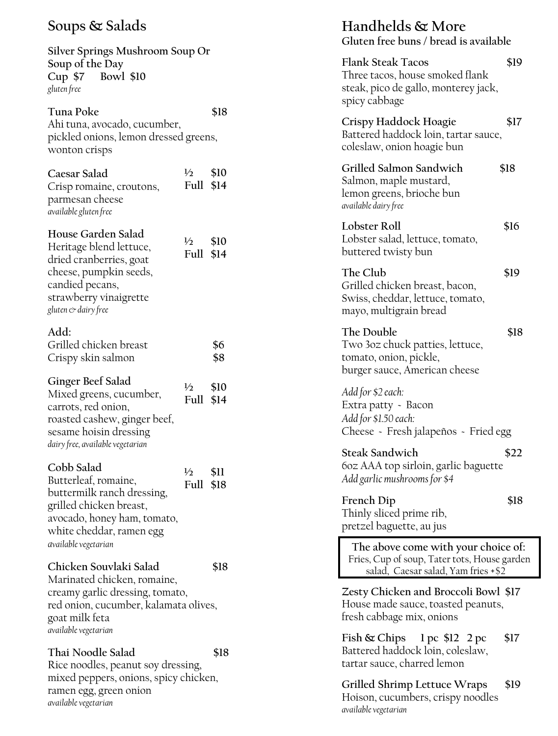#### **Soups & Salads**

**Silver Springs Mushroom Soup Or Soup of the Day Cup \$7 Bowl \$10** *gluten free*

**Tuna Poke \$18** Ahi tuna, avocado, cucumber, pickled onions, lemon dressed greens, wonton crisps

| Caesar Salad             | $\frac{1}{2}$ | \$10 |
|--------------------------|---------------|------|
| Crisp romaine, croutons, | Full \$14     |      |
| parmesan cheese          |               |      |
| available gluten free    |               |      |
| House Garden Salad       |               |      |
| Heritage blend lettuce,  | $\frac{1}{2}$ | \$10 |
| dried cranberries, goat  | Full \$14     |      |
| cheese, pumpkin seeds,   |               |      |
| candied pecans,          |               |      |
| strawberry vinaigrette   |               |      |
| gluten & dairy free      |               |      |

#### **Add:** Grilled chicken breast **\$6** Crispy skin salmon **\$8**

| Ginger Beef Salad                | $\frac{1}{2}$ | \$10 |
|----------------------------------|---------------|------|
| Mixed greens, cucumber,          | Full \$14     |      |
| carrots, red onion,              |               |      |
| roasted cashew, ginger beef,     |               |      |
| sesame hoisin dressing           |               |      |
| dairy free, available vegetarian |               |      |

#### **Cobb Salad**  Butterleaf, romaine,

| <b>Full \$18</b> |
|------------------|

**½ \$11**

**Chicken Souvlaki Salad \$18** Marinated chicken, romaine, creamy garlic dressing, tomato, red onion, cucumber, kalamata olives, goat milk feta *available vegetarian* 

**Thai Noodle Salad \$18** Rice noodles, peanut soy dressing, mixed peppers, onions, spicy chicken, ramen egg, green onion *available vegetarian* 

| Handhelds & More<br>Gluten free buns / bread is available                                                                  |      |
|----------------------------------------------------------------------------------------------------------------------------|------|
| <b>Flank Steak Tacos</b><br>Three tacos, house smoked flank<br>steak, pico de gallo, monterey jack,<br>spicy cabbage       | \$19 |
| Crispy Haddock Hoagie<br>Battered haddock loin, tartar sauce,<br>coleslaw, onion hoagie bun                                | \$17 |
| Grilled Salmon Sandwich<br>Salmon, maple mustard,<br>lemon greens, brioche bun<br>available dairy free                     | \$18 |
| Lobster Roll<br>Lobster salad, lettuce, tomato,<br>buttered twisty bun                                                     | \$16 |
| The Club<br>Grilled chicken breast, bacon,<br>Swiss, cheddar, lettuce, tomato,<br>mayo, multigrain bread                   | \$19 |
| The Double<br>Two 3oz chuck patties, lettuce,<br>tomato, onion, pickle,<br>burger sauce, American cheese                   | \$18 |
| Add for \$2 each:<br>Extra patty - Bacon<br>Add for \$1.50 each:<br>Cheese - Fresh jalapeños - Fried egg                   |      |
| Steak Sandwich<br>60z AAA top sirloin, garlic baguette<br>Add garlic mushrooms for \$4                                     | \$22 |
| <b>French Dip</b><br>Thinly sliced prime rib,<br>pretzel baguette, au jus                                                  | \$18 |
| The above come with your choice of:<br>Fries, Cup of soup, Tater tots, House garden<br>salad, Caesar salad, Yam fries +\$2 |      |
| Zesty Chicken and Broccoli Bowl \$17<br>House made sauce, toasted peanuts,<br>fresh cabbage mix, onions                    |      |
| Fish $\&$ Chips 1 pc \$12 2 pc<br>Battered haddock loin, coleslaw,<br>tartar sauce, charred lemon                          | \$17 |
| Grilled Shrimp Lettuce Wraps<br>Hoison, cucumbers, crispy noodles                                                          | \$19 |

*available vegetarian*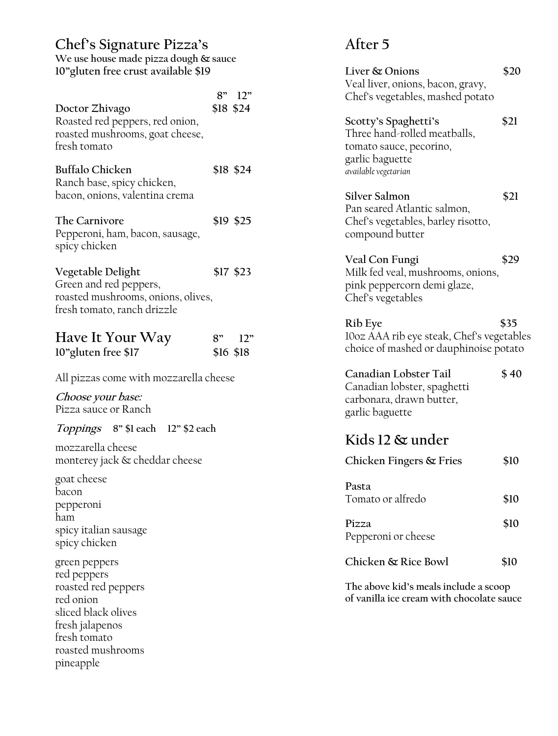### **Chef's Signature Pizza's**

| We use house made pizza dough & sauce |
|---------------------------------------|
| 10" gluten free crust available \$19  |

|                                                                                                                                                              |    | 8" 12"           |
|--------------------------------------------------------------------------------------------------------------------------------------------------------------|----|------------------|
| Doctor Zhivago<br>Roasted red peppers, red onion,<br>roasted mushrooms, goat cheese,<br>fresh tomato                                                         |    | \$18 \$24        |
| <b>Buffalo Chicken</b><br>Ranch base, spicy chicken,<br>bacon, onions, valentina crema                                                                       |    | \$18 \$24        |
| The Carnivore<br>Pepperoni, ham, bacon, sausage,<br>spicy chicken                                                                                            |    | \$19 \$25        |
| Vegetable Delight<br>Green and red peppers,<br>roasted mushrooms, onions, olives,<br>fresh tomato, ranch drizzle                                             |    | \$17 \$23        |
| Have It Your Way<br>10"gluten free \$17                                                                                                                      | 8" | 12"<br>\$16 \$18 |
| All pizzas come with mozzarella cheese                                                                                                                       |    |                  |
| <i>Choose your base:</i><br>Pizza sauce or Ranch                                                                                                             |    |                  |
| Toppings 8" \$1 each 12" \$2 each                                                                                                                            |    |                  |
| mozzarella cheese<br>monterey jack & cheddar cheese                                                                                                          |    |                  |
| goat cheese<br>bacon<br>pepperoni<br>ham<br>spicy italian sausage<br>spicy chicken                                                                           |    |                  |
| green peppers<br>red peppers<br>roasted red peppers<br>red onion<br>sliced black olives<br>fresh jalapenos<br>fresh tomato<br>roasted mushrooms<br>pineapple |    |                  |

## **After 5**

| Liver & Onions<br>Veal liver, onions, bacon, gravy,<br>Chef's vegetables, mashed potato                                    | \$20 |
|----------------------------------------------------------------------------------------------------------------------------|------|
| Scotty's Spaghetti's<br>Three hand-rolled meatballs,<br>tomato sauce, pecorino,<br>garlic baguette<br>available vegetarian | \$21 |
| Silver Salmon<br>Pan seared Atlantic salmon,<br>Chef's vegetables, barley risotto,<br>compound butter                      | \$21 |
| Veal Con Fungi<br>Milk fed veal, mushrooms, onions,<br>pink peppercorn demi glaze,<br>Chef's vegetables                    | \$29 |
|                                                                                                                            |      |
| Rib Eye<br>10oz AAA rib eye steak, Chef's vegetables<br>choice of mashed or dauphinoise potato                             | \$35 |
| Canadian Lobster Tail<br>Canadian lobster, spaghetti<br>carbonara, drawn butter,<br>garlic baguette                        | \$40 |
| Kids 12 & under                                                                                                            |      |
| Chicken Fingers & Fries                                                                                                    | \$10 |
| Pasta<br>Tomato or alfredo                                                                                                 | \$10 |
| Pizza<br>Pepperoni or cheese                                                                                               | \$10 |

**The above kid's meals include a scoop of vanilla ice cream with chocolate sauce**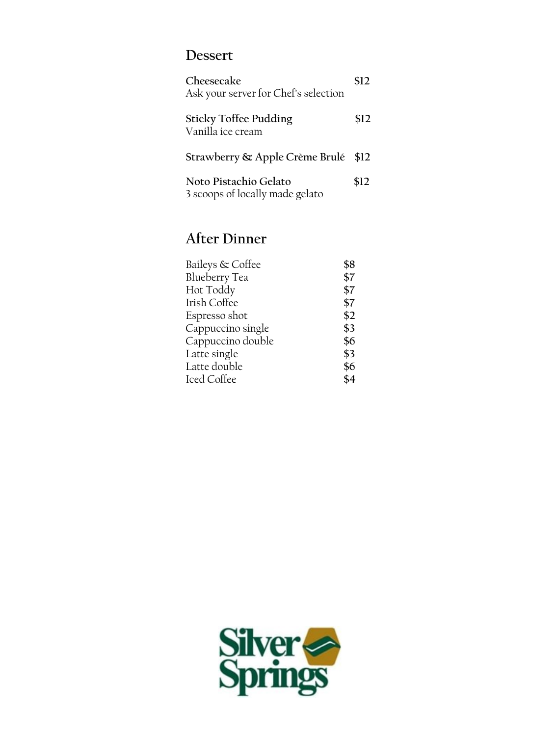#### **Dessert**

| Cheesecake<br>Ask your server for Chef's selection       |      |
|----------------------------------------------------------|------|
| <b>Sticky Toffee Pudding</b><br>Vanilla ice cream        | \$12 |
| Strawberry & Apple Crème Brulé                           | \$12 |
| Noto Pistachio Gelato<br>3 scoops of locally made gelato | \$12 |

### **After Dinner**

| Baileys & Coffee     | \$8 |
|----------------------|-----|
| <b>Blueberry Tea</b> | \$7 |
| Hot Toddy            | \$7 |
| Irish Coffee         | \$7 |
| Espresso shot        | \$2 |
| Cappuccino single    | \$3 |
| Cappuccino double    | \$6 |
| Latte single         | \$3 |
| Latte double         | \$6 |
| Iced Coffee          | \$4 |

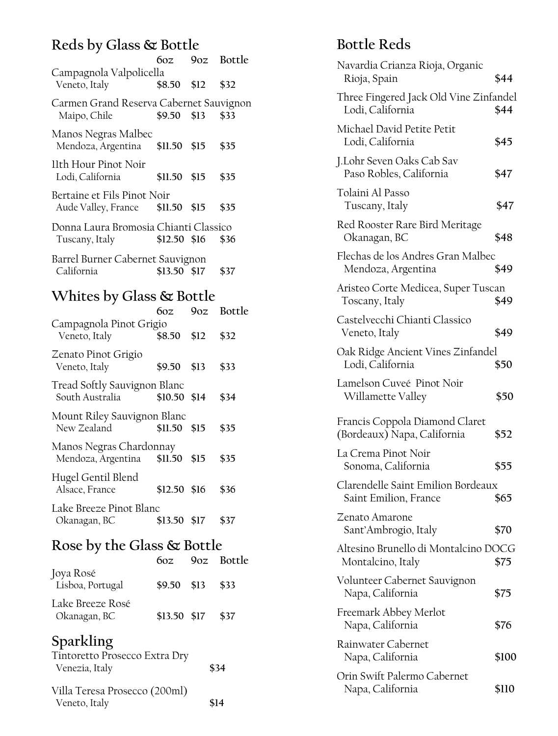### **Reds by Glass & Bottle**

|                                                                               | 60z 90z Bottle       |      |
|-------------------------------------------------------------------------------|----------------------|------|
| Campagnola Valpolicella<br>Veneto, Italy<br>\$8.50 \$12 \$32                  |                      |      |
| Carmen Grand Reserva Cabernet Sauvignon<br>$$9.50$ \$13 \$33<br>Maipo, Chile  |                      |      |
| Manos Negras Malbec<br>Mendoza, Argentina \$11.50 \$15 \$35                   |                      |      |
| 11th Hour Pinot Noir<br>Lodi, California                                      | $$11.50$ $$15$ $$35$ |      |
| Bertaine et Fils Pinot Noir<br>Aude Valley, France \$11.50 \$15               |                      | \$35 |
| Donna Laura Bromosia Chianti Classico<br>$$12.50$ \$16 \$36<br>Tuscany, Italy |                      |      |
| Barrel Burner Cabernet Sauvignon<br>California                                | \$13.50 \$17 \$37    |      |
|                                                                               |                      |      |

## **Whites by Glass & Bottle**

|                                                            | 60z           | 90z Bottle |
|------------------------------------------------------------|---------------|------------|
| Campagnola Pinot Grigio<br>Veneto, Italy                   | \$8.50 \$12   | \$32       |
| Zenato Pinot Grigio<br>Veneto, Italy                       | \$9.50 \$13   | \$33       |
| Tread Softly Sauvignon Blanc<br>South Australia            | \$10.50 \$14  | \$34       |
| Mount Riley Sauvignon Blanc<br>New Zealand                 | $$11.50$ \$15 | \$35       |
| Manos Negras Chardonnay<br>Mendoza, Argentina \$11.50 \$15 |               | \$35       |
| Hugel Gentil Blend<br>Alsace, France                       | $$12.50$ \$16 | \$36       |
| Lake Breeze Pinot Blanc<br>Okanagan, BC                    | \$13.50 \$17  | \$37       |
|                                                            |               |            |

#### **Rose by the Glass & Bottle**

|                                  | 60z            | 90z Bottle |
|----------------------------------|----------------|------------|
| Joya Rosé<br>Lisboa, Portugal    | $$9.50$ \$13   | \$33       |
| Lake Breeze Rosé<br>Okanagan, BC | $$13.50$ $$17$ | \$37       |

# **Sparkling**

| Tintoretto Prosecco Extra Dry |      |
|-------------------------------|------|
| Venezia, Italy                | \$34 |

| Villa Teresa Prosecco (200ml) |      |
|-------------------------------|------|
| Veneto, Italy                 | \$14 |

# **Bottle Reds**

| Navardia Crianza Rioja, Organic<br>Rioja, Spain               | \$44  |
|---------------------------------------------------------------|-------|
| Three Fingered Jack Old Vine Zinfandel<br>Lodi, California    | \$44  |
| Michael David Petite Petit<br>Lodi, California                | \$45  |
| J.Lohr Seven Oaks Cab Sav<br>Paso Robles, California          | \$47  |
| Tolaini Al Passo<br>Tuscany, Italy                            | \$47  |
| Red Rooster Rare Bird Meritage<br>Okanagan, BC                | \$48  |
| Flechas de los Andres Gran Malbec<br>Mendoza, Argentina       | \$49  |
| Aristeo Corte Medicea, Super Tuscan<br>Toscany, Italy         | \$49  |
| Castelvecchi Chianti Classico<br>Veneto, Italy                | \$49  |
| Oak Ridge Ancient Vines Zinfandel<br>Lodi, California         | \$50  |
| Lamelson Cuveé Pinot Noir<br>Willamette Valley                | \$50  |
| Francis Coppola Diamond Claret<br>(Bordeaux) Napa, California | \$52  |
| La Crema Pinot Noir<br>Sonoma, California                     | \$55  |
| Clarendelle Saint Emilion Bordeaux<br>Saint Emilion, France   | \$65  |
| Zenato Amarone<br>Sant'Ambrogio, Italy                        | \$70  |
| Altesino Brunello di Montalcino DOCG<br>Montalcino, Italy     | \$75  |
| Volunteer Cabernet Sauvignon<br>Napa, California              | \$75  |
| Freemark Abbey Merlot<br>Napa, California                     | \$76  |
| Rainwater Cabernet<br>Napa, California                        | \$100 |
| Orin Swift Palermo Cabernet<br>Napa, California               | \$110 |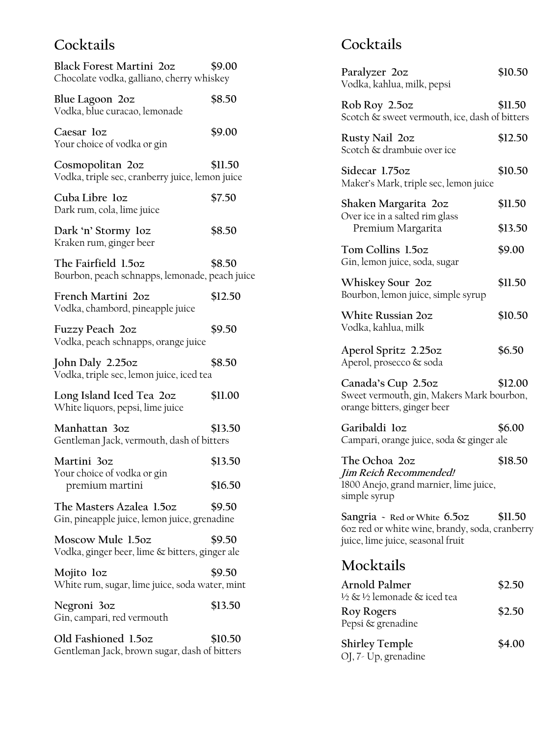#### **Cocktails**

| <b>Black Forest Martini 202</b><br>Chocolate vodka, galliano, cherry whiskey | \$9.00  |
|------------------------------------------------------------------------------|---------|
| Blue Lagoon 2oz<br>Vodka, blue curacao, lemonade                             | \$8.50  |
| Caesar loz<br>Your choice of vodka or gin                                    | \$9.00  |
| Cosmopolitan 2oz<br>Vodka, triple sec, cranberry juice, lemon juice          | \$11.50 |
| Cuba Libre loz<br>Dark rum, cola, lime juice                                 | \$7.50  |
| Dark 'n' Stormy loz<br>Kraken rum, ginger beer                               | \$8.50  |
| The Fairfield 1.5oz<br>Bourbon, peach schnapps, lemonade, peach juice        | \$8.50  |
| French Martini 2oz<br>Vodka, chambord, pineapple juice                       | \$12.50 |
| Fuzzy Peach 2oz<br>Vodka, peach schnapps, orange juice                       | \$9.50  |
| John Daly 2.25oz<br>Vodka, triple sec, lemon juice, iced tea                 | \$8.50  |
| Long Island Iced Tea 2oz<br>White liquors, pepsi, lime juice                 | \$11.00 |
| Manhattan 30z<br>Gentleman Jack, vermouth, dash of bitters                   | \$13.50 |
| Martini 3oz<br>Your choice of vodka or gin                                   | \$13.50 |
| premium martini                                                              | \$16.50 |
| The Masters Azalea 1.5oz<br>Gin, pineapple juice, lemon juice, grenadine     | \$9.50  |
| Moscow Mule 1.5oz<br>Vodka, ginger beer, lime & bitters, ginger ale          | \$9.50  |
| Mojito loz<br>White rum, sugar, lime juice, soda water, mint                 | \$9.50  |
| Negroni 3oz<br>Gin, campari, red vermouth                                    | \$13.50 |
| Old Fashioned 1.5oz<br>Gentleman Jack, brown sugar, dash of bitters          | \$10.50 |

## **Cocktails**

| Paralyzer 20z<br>Vodka, kahlua, milk, pepsi                                                                         | \$10.50 |
|---------------------------------------------------------------------------------------------------------------------|---------|
| Rob Roy 2.5oz<br>Scotch & sweet vermouth, ice, dash of bitters                                                      | \$11.50 |
| Rusty Nail 20z<br>Scotch & drambuie over ice                                                                        | \$12.50 |
| Sidecar 1.75oz<br>Maker's Mark, triple sec, lemon juice                                                             | \$10.50 |
| Shaken Margarita 20z                                                                                                | \$11.50 |
| Over ice in a salted rim glass<br>Premium Margarita                                                                 | \$13.50 |
| Tom Collins 1.5oz<br>Gin, lemon juice, soda, sugar                                                                  | \$9.00  |
| Whiskey Sour 2oz<br>Bourbon, lemon juice, simple syrup                                                              | \$11.50 |
| <b>White Russian 20z</b><br>Vodka, kahlua, milk                                                                     | \$10.50 |
| Aperol Spritz 2.25oz<br>Aperol, prosecco & soda                                                                     | \$6.50  |
| Canada's Cup 2.5oz<br>Sweet vermouth, gin, Makers Mark bourbon,<br>orange bitters, ginger beer                      | \$12.00 |
| Garibaldi loz<br>Campari, orange juice, soda & ginger ale                                                           | \$6.00  |
| The Ochoa 2oz<br>Jim Reich Recommended!<br>1800 Anejo, grand marnier, lime juice,<br>simple syrup                   | \$18.50 |
| Sangria - Red or White 6.50Z<br>60z red or white wine, brandy, soda, cranberry<br>juice, lime juice, seasonal fruit | \$11.50 |
| Mocktails                                                                                                           |         |
| Arnold Palmer<br>½ & ½ lemonade & iced tea                                                                          | \$2.50  |
| Roy Rogers<br>Pepsi & grenadine                                                                                     | \$2.50  |

**Shirley Temple \$4.00** OJ, 7- Up, grenadine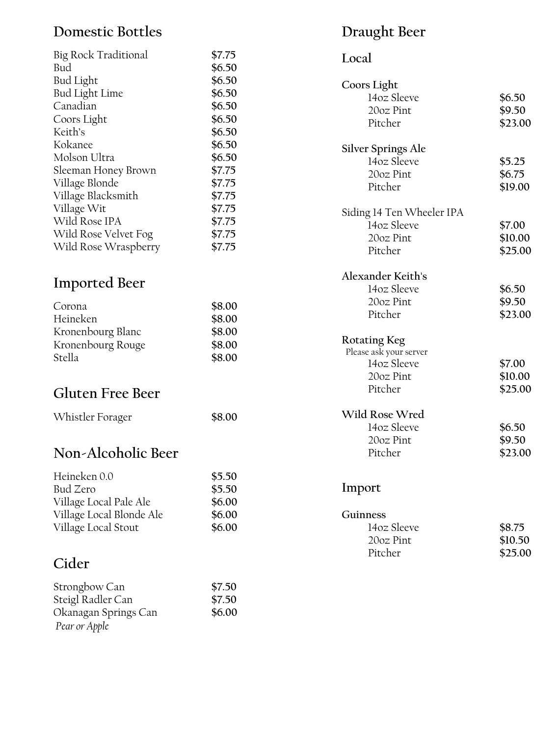#### **Domestic Bottles**

| Big Rock Traditional  | \$7.75 |
|-----------------------|--------|
| Bud                   | \$6.50 |
| <b>Bud Light</b>      | \$6.50 |
| <b>Bud Light Lime</b> | \$6.50 |
| Canadian              | \$6.50 |
| Coors Light           | \$6.50 |
| Keith's               | \$6.50 |
| Kokanee               | \$6.50 |
| Molson Ultra          | \$6.50 |
| Sleeman Honey Brown   | \$7.75 |
| Village Blonde        | \$7.75 |
| Village Blacksmith    | \$7.75 |
| Village Wit           | \$7.75 |
| Wild Rose IPA         | \$7.75 |
| Wild Rose Velvet Fog  | \$7.75 |
| Wild Rose Wraspberry  | \$7.75 |

### **Imported Beer**

| \$8.00 |
|--------|
| \$8.00 |
| \$8.00 |
| \$8.00 |
| \$8.00 |
|        |

#### **Gluten Free Beer**

| Whistler Forager | \$8.00 |
|------------------|--------|
|                  |        |

#### **Non -Alcoholic Beer**

| Heineken 0.0             | \$5.50 |
|--------------------------|--------|
| Bud Zero                 | \$5.50 |
| Village Local Pale Ale   | \$6.00 |
| Village Local Blonde Ale | \$6.00 |
| Village Local Stout      | \$6.00 |

# **Cider**

| Strongbow Can        | \$7.50 |
|----------------------|--------|
| Steigl Radler Can    | \$7.50 |
| Okanagan Springs Can | \$6.00 |
| Pear or Apple        |        |

# **Draught Beer**

# **Local**

| Coors Light<br>14oz Sleeve<br>20oz Pint<br>Pitcher                                   | \$6.50<br>\$9.50<br>\$23.00  |
|--------------------------------------------------------------------------------------|------------------------------|
| Silver Springs Ale<br>14oz Sleeve<br>20oz Pint<br>Pitcher                            | \$5.25<br>\$6.75<br>\$19.00  |
| Siding 14 Ten Wheeler IPA<br>14oz Sleeve<br>20oz Pint<br>Pitcher                     | \$7.00<br>\$10.00<br>\$25.00 |
| Alexander Keith's<br>14oz Sleeve<br>20oz Pint<br>Pitcher                             | \$6.50<br>\$9.50<br>\$23.00  |
| <b>Rotating Keg</b><br>Please ask your server<br>14oz Sleeve<br>20oz Pint<br>Pitcher | \$7.00<br>\$10.00<br>\$25.00 |
| Wild Rose Wred<br>14oz Sleeve<br>20oz Pint<br>Pitcher                                | \$6.50<br>\$9.50<br>\$23.00  |
| Import                                                                               |                              |
| Guinness<br>14oz Sleeve<br>20oz Pint<br>Pitcher                                      | \$8.75<br>\$10.50<br>\$25.00 |